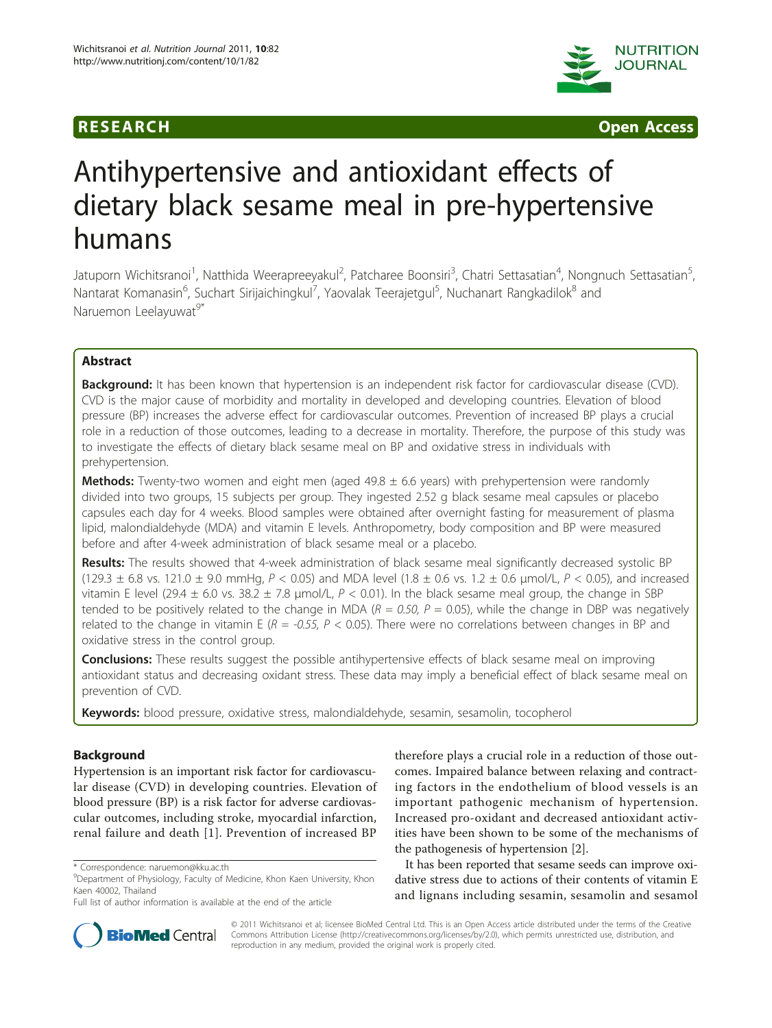



# Antihypertensive and antioxidant effects of dietary black sesame meal in pre-hypertensive humans

Jatuporn Wichitsranoi<sup>1</sup>, Natthida Weerapreeyakul<sup>2</sup>, Patcharee Boonsiri<sup>3</sup>, Chatri Settasatian<sup>4</sup>, Nongnuch Settasatian<sup>5</sup> , Nantarat Komanasin<sup>6</sup>, Suchart Sirijaichingkul<sup>7</sup>, Yaovalak Teerajetgul<sup>5</sup>, Nuchanart Rangkadilok<sup>8</sup> and Naruemon Leelayuwat<sup>9\*</sup>

# Abstract

Background: It has been known that hypertension is an independent risk factor for cardiovascular disease (CVD). CVD is the major cause of morbidity and mortality in developed and developing countries. Elevation of blood pressure (BP) increases the adverse effect for cardiovascular outcomes. Prevention of increased BP plays a crucial role in a reduction of those outcomes, leading to a decrease in mortality. Therefore, the purpose of this study was to investigate the effects of dietary black sesame meal on BP and oxidative stress in individuals with prehypertension.

**Methods:** Twenty-two women and eight men (aged  $49.8 \pm 6.6$  years) with prehypertension were randomly divided into two groups, 15 subjects per group. They ingested 2.52 g black sesame meal capsules or placebo capsules each day for 4 weeks. Blood samples were obtained after overnight fasting for measurement of plasma lipid, malondialdehyde (MDA) and vitamin E levels. Anthropometry, body composition and BP were measured before and after 4-week administration of black sesame meal or a placebo.

Results: The results showed that 4-week administration of black sesame meal significantly decreased systolic BP (129.3  $\pm$  6.8 vs. 121.0  $\pm$  9.0 mmHg, P < 0.05) and MDA level (1.8  $\pm$  0.6 vs. 1.2  $\pm$  0.6 µmol/L, P < 0.05), and increased vitamin E level (29.4  $\pm$  6.0 vs. 38.2  $\pm$  7.8  $\mu$ mol/L, P < 0.01). In the black sesame meal group, the change in SBP tended to be positively related to the change in MDA ( $R = 0.50$ ,  $P = 0.05$ ), while the change in DBP was negatively related to the change in vitamin E ( $R = -0.55$ ,  $P < 0.05$ ). There were no correlations between changes in BP and oxidative stress in the control group.

**Conclusions:** These results suggest the possible antihypertensive effects of black sesame meal on improving antioxidant status and decreasing oxidant stress. These data may imply a beneficial effect of black sesame meal on prevention of CVD.

Keywords: blood pressure, oxidative stress, malondialdehyde, sesamin, sesamolin, tocopherol

# Background

Hypertension is an important risk factor for cardiovascular disease (CVD) in developing countries. Elevation of blood pressure (BP) is a risk factor for adverse cardiovascular outcomes, including stroke, myocardial infarction, renal failure and death [[1\]](#page-5-0). Prevention of increased BP

therefore plays a crucial role in a reduction of those outcomes. Impaired balance between relaxing and contracting factors in the endothelium of blood vessels is an important pathogenic mechanism of hypertension. Increased pro-oxidant and decreased antioxidant activities have been shown to be some of the mechanisms of the pathogenesis of hypertension [\[2\]](#page-5-0).

It has been reported that sesame seeds can improve oxidative stress due to actions of their contents of vitamin E and lignans including sesamin, sesamolin and sesamol



© 2011 Wichitsranoi et al; licensee BioMed Central Ltd. This is an Open Access article distributed under the terms of the Creative Commons Attribution License [\(http://creativecommons.org/licenses/by/2.0](http://creativecommons.org/licenses/by/2.0)), which permits unrestricted use, distribution, and reproduction in any medium, provided the original work is properly cited.

<sup>\*</sup> Correspondence: [naruemon@kku.ac.th](mailto:naruemon@kku.ac.th)

<sup>&</sup>lt;sup>9</sup>Department of Physiology, Faculty of Medicine, Khon Kaen University, Khon Kaen 40002, Thailand

Full list of author information is available at the end of the article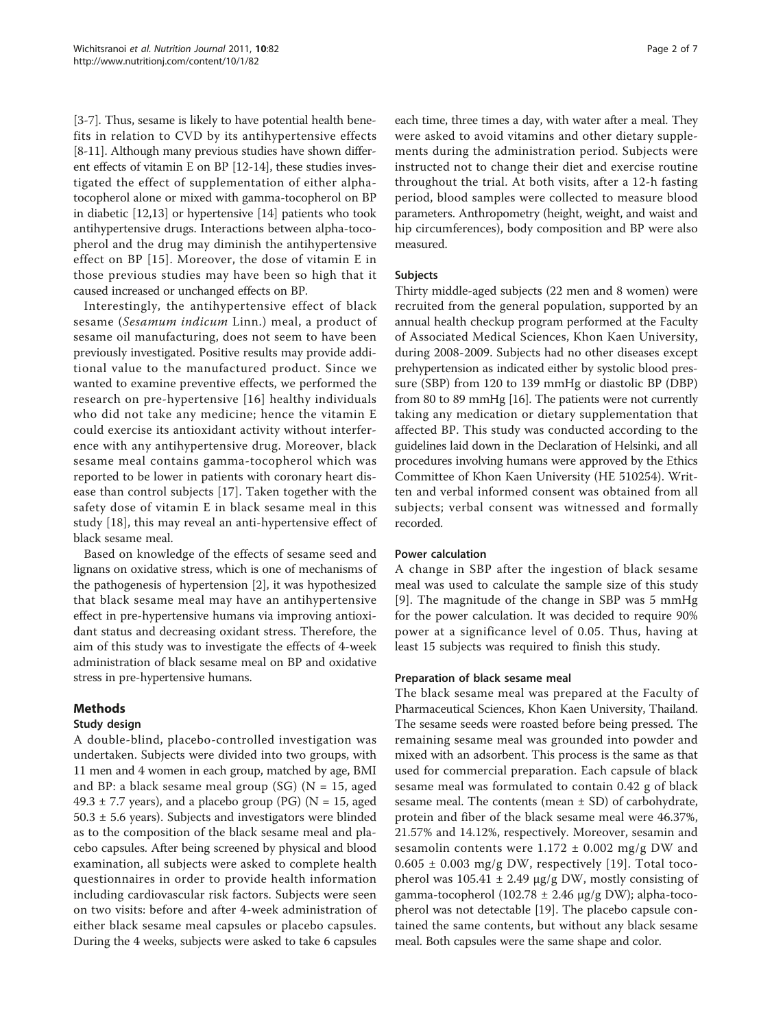[[3-7](#page-5-0)]. Thus, sesame is likely to have potential health benefits in relation to CVD by its antihypertensive effects [[8-11\]](#page-5-0). Although many previous studies have shown different effects of vitamin E on BP [\[12-14](#page-5-0)], these studies investigated the effect of supplementation of either alphatocopherol alone or mixed with gamma-tocopherol on BP in diabetic [\[12,13\]](#page-5-0) or hypertensive [[14](#page-5-0)] patients who took antihypertensive drugs. Interactions between alpha-tocopherol and the drug may diminish the antihypertensive effect on BP [[15\]](#page-5-0). Moreover, the dose of vitamin E in those previous studies may have been so high that it caused increased or unchanged effects on BP.

Interestingly, the antihypertensive effect of black sesame (Sesamum indicum Linn.) meal, a product of sesame oil manufacturing, does not seem to have been previously investigated. Positive results may provide additional value to the manufactured product. Since we wanted to examine preventive effects, we performed the research on pre-hypertensive [[16](#page-5-0)] healthy individuals who did not take any medicine; hence the vitamin E could exercise its antioxidant activity without interference with any antihypertensive drug. Moreover, black sesame meal contains gamma-tocopherol which was reported to be lower in patients with coronary heart disease than control subjects [\[17](#page-5-0)]. Taken together with the safety dose of vitamin E in black sesame meal in this study [\[18](#page-5-0)], this may reveal an anti-hypertensive effect of black sesame meal.

Based on knowledge of the effects of sesame seed and lignans on oxidative stress, which is one of mechanisms of the pathogenesis of hypertension [[2\]](#page-5-0), it was hypothesized that black sesame meal may have an antihypertensive effect in pre-hypertensive humans via improving antioxidant status and decreasing oxidant stress. Therefore, the aim of this study was to investigate the effects of 4-week administration of black sesame meal on BP and oxidative stress in pre-hypertensive humans.

# Methods

# Study design

A double-blind, placebo-controlled investigation was undertaken. Subjects were divided into two groups, with 11 men and 4 women in each group, matched by age, BMI and BP: a black sesame meal group (SG) ( $N = 15$ , aged 49.3  $\pm$  7.7 years), and a placebo group (PG) (N = 15, aged  $50.3 \pm 5.6$  years). Subjects and investigators were blinded as to the composition of the black sesame meal and placebo capsules. After being screened by physical and blood examination, all subjects were asked to complete health questionnaires in order to provide health information including cardiovascular risk factors. Subjects were seen on two visits: before and after 4-week administration of either black sesame meal capsules or placebo capsules. During the 4 weeks, subjects were asked to take 6 capsules each time, three times a day, with water after a meal. They were asked to avoid vitamins and other dietary supplements during the administration period. Subjects were instructed not to change their diet and exercise routine throughout the trial. At both visits, after a 12-h fasting period, blood samples were collected to measure blood parameters. Anthropometry (height, weight, and waist and hip circumferences), body composition and BP were also measured.

## Subjects

Thirty middle-aged subjects (22 men and 8 women) were recruited from the general population, supported by an annual health checkup program performed at the Faculty of Associated Medical Sciences, Khon Kaen University, during 2008-2009. Subjects had no other diseases except prehypertension as indicated either by systolic blood pressure (SBP) from 120 to 139 mmHg or diastolic BP (DBP) from 80 to 89 mmHg [[16](#page-5-0)]. The patients were not currently taking any medication or dietary supplementation that affected BP. This study was conducted according to the guidelines laid down in the Declaration of Helsinki, and all procedures involving humans were approved by the Ethics Committee of Khon Kaen University (HE 510254). Written and verbal informed consent was obtained from all subjects; verbal consent was witnessed and formally recorded.

# Power calculation

A change in SBP after the ingestion of black sesame meal was used to calculate the sample size of this study [[9](#page-5-0)]. The magnitude of the change in SBP was 5 mmHg for the power calculation. It was decided to require 90% power at a significance level of 0.05. Thus, having at least 15 subjects was required to finish this study.

# Preparation of black sesame meal

The black sesame meal was prepared at the Faculty of Pharmaceutical Sciences, Khon Kaen University, Thailand. The sesame seeds were roasted before being pressed. The remaining sesame meal was grounded into powder and mixed with an adsorbent. This process is the same as that used for commercial preparation. Each capsule of black sesame meal was formulated to contain 0.42 g of black sesame meal. The contents (mean  $\pm$  SD) of carbohydrate, protein and fiber of the black sesame meal were 46.37%, 21.57% and 14.12%, respectively. Moreover, sesamin and sesamolin contents were  $1.172 \pm 0.002$  mg/g DW and  $0.605 \pm 0.003$  mg/g DW, respectively [[19](#page-5-0)]. Total tocopherol was  $105.41 \pm 2.49$  μg/g DW, mostly consisting of gamma-tocopherol (102.78 ± 2.46 μg/g DW); alpha-tocopherol was not detectable [[19\]](#page-5-0). The placebo capsule contained the same contents, but without any black sesame meal. Both capsules were the same shape and color.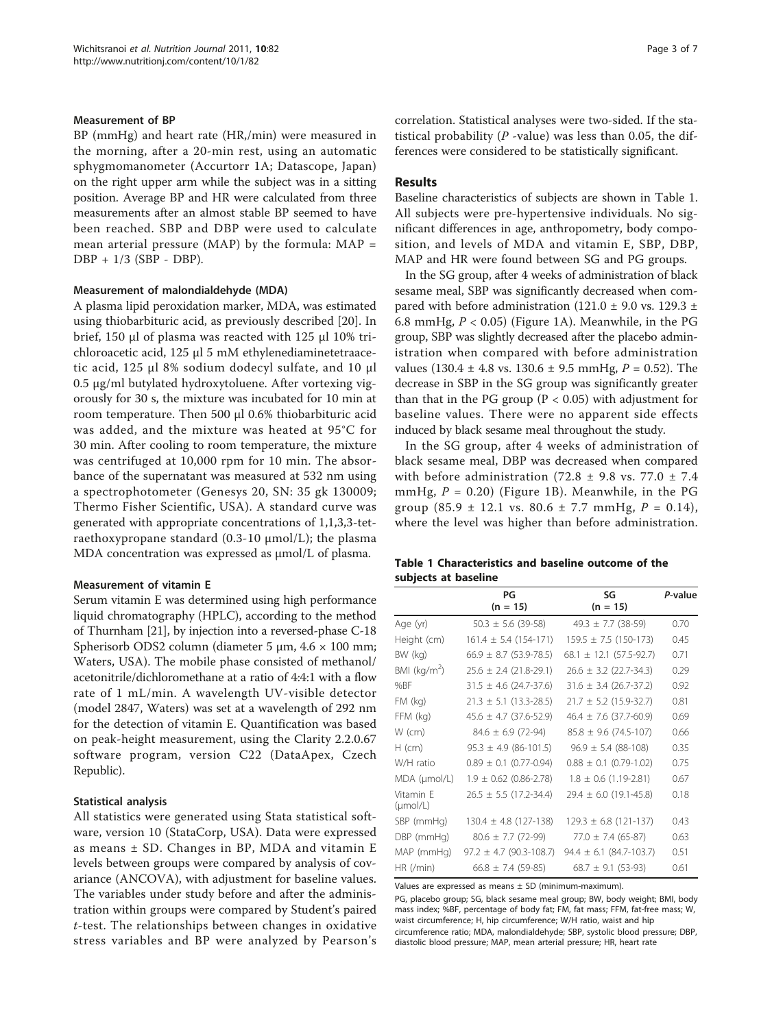#### Measurement of BP

BP (mmHg) and heart rate (HR,/min) were measured in the morning, after a 20-min rest, using an automatic sphygmomanometer (Accurtorr 1A; Datascope, Japan) on the right upper arm while the subject was in a sitting position. Average BP and HR were calculated from three measurements after an almost stable BP seemed to have been reached. SBP and DBP were used to calculate mean arterial pressure (MAP) by the formula:  $MAP =$ DBP + 1/3 (SBP - DBP).

#### Measurement of malondialdehyde (MDA)

A plasma lipid peroxidation marker, MDA, was estimated using thiobarbituric acid, as previously described [[20\]](#page-5-0). In brief, 150 μl of plasma was reacted with 125 μl 10% trichloroacetic acid, 125 μl 5 mM ethylenediaminetetraacetic acid, 125 μl 8% sodium dodecyl sulfate, and 10 μl 0.5 μg/ml butylated hydroxytoluene. After vortexing vigorously for 30 s, the mixture was incubated for 10 min at room temperature. Then 500 μl 0.6% thiobarbituric acid was added, and the mixture was heated at 95°C for 30 min. After cooling to room temperature, the mixture was centrifuged at 10,000 rpm for 10 min. The absorbance of the supernatant was measured at 532 nm using a spectrophotometer (Genesys 20, SN: 35 gk 130009; Thermo Fisher Scientific, USA). A standard curve was generated with appropriate concentrations of 1,1,3,3-tetraethoxypropane standard (0.3-10 μmol/L); the plasma MDA concentration was expressed as μmol/L of plasma.

#### Measurement of vitamin E

Serum vitamin E was determined using high performance liquid chromatography (HPLC), according to the method of Thurnham [\[21\]](#page-5-0), by injection into a reversed-phase C-18 Spherisorb ODS2 column (diameter 5 μm, 4.6 × 100 mm; Waters, USA). The mobile phase consisted of methanol/ acetonitrile/dichloromethane at a ratio of 4:4:1 with a flow rate of 1 mL/min. A wavelength UV-visible detector (model 2847, Waters) was set at a wavelength of 292 nm for the detection of vitamin E. Quantification was based on peak-height measurement, using the Clarity 2.2.0.67 software program, version C22 (DataApex, Czech Republic).

#### Statistical analysis

All statistics were generated using Stata statistical software, version 10 (StataCorp, USA). Data were expressed as means ± SD. Changes in BP, MDA and vitamin E levels between groups were compared by analysis of covariance (ANCOVA), with adjustment for baseline values. The variables under study before and after the administration within groups were compared by Student's paired t-test. The relationships between changes in oxidative stress variables and BP were analyzed by Pearson's correlation. Statistical analyses were two-sided. If the statistical probability ( $P$  -value) was less than 0.05, the differences were considered to be statistically significant.

# Results

Baseline characteristics of subjects are shown in Table 1. All subjects were pre-hypertensive individuals. No significant differences in age, anthropometry, body composition, and levels of MDA and vitamin E, SBP, DBP, MAP and HR were found between SG and PG groups.

In the SG group, after 4 weeks of administration of black sesame meal, SBP was significantly decreased when compared with before administration (121.0  $\pm$  9.0 vs. 129.3  $\pm$ 6.8 mmHg,  $P < 0.05$ ) (Figure [1A\)](#page-3-0). Meanwhile, in the PG group, SBP was slightly decreased after the placebo administration when compared with before administration values (130.4  $\pm$  4.8 vs. 130.6  $\pm$  9.5 mmHg, P = 0.52). The decrease in SBP in the SG group was significantly greater than that in the PG group ( $P < 0.05$ ) with adjustment for baseline values. There were no apparent side effects induced by black sesame meal throughout the study.

In the SG group, after 4 weeks of administration of black sesame meal, DBP was decreased when compared with before administration (72.8  $\pm$  9.8 vs. 77.0  $\pm$  7.4 mmHg,  $P = 0.20$ ) (Figure [1B\)](#page-3-0). Meanwhile, in the PG group  $(85.9 \pm 12.1 \text{ vs. } 80.6 \pm 7.7 \text{ mmHg}, P = 0.14)$ , where the level was higher than before administration.

| Table 1 Characteristics and baseline outcome of the |  |  |  |
|-----------------------------------------------------|--|--|--|
| subjects at baseline                                |  |  |  |

|                                   | PG                            | SG                            | P-value |
|-----------------------------------|-------------------------------|-------------------------------|---------|
|                                   | $(n = 15)$                    | $(n = 15)$                    |         |
| Age (yr)                          | $50.3 \pm 5.6$ (39-58)        | $49.3 \pm 7.7$ (38-59)        | 0.70    |
| Height (cm)                       | $161.4 \pm 5.4$ (154-171)     | $159.5 \pm 7.5$ (150-173)     | 0.45    |
| BW (kg)                           | $66.9 \pm 8.7$ (53.9-78.5)    | $68.1 \pm 12.1 (57.5 - 92.7)$ | 0.71    |
| BMI ( $kg/m2$ )                   | $25.6 \pm 2.4$ (21.8-29.1)    | $26.6 \pm 3.2$ (22.7-34.3)    | 0.29    |
| %BF                               | $31.5 \pm 4.6$ (24.7-37.6)    | $31.6 \pm 3.4$ (26.7-37.2)    | 0.92    |
| $FM$ ( $kg$ )                     | $21.3 \pm 5.1$ (13.3-28.5)    | $21.7 \pm 5.2$ (15.9-32.7)    | 0.81    |
| FFM (kg)                          | $45.6 \pm 4.7$ (37.6-52.9)    | $46.4 \pm 7.6$ (37.7-60.9)    | 0.69    |
| $W$ (cm)                          | $84.6 \pm 6.9$ (72-94)        | $85.8 \pm 9.6$ (74.5-107)     | 0.66    |
| $H$ (cm)                          | $95.3 \pm 4.9$ (86-101.5)     | $96.9 \pm 5.4$ (88-108)       | 0.35    |
| W/H ratio                         | $0.89 \pm 0.1$ (0.77-0.94)    | $0.88 \pm 0.1$ (0.79-1.02)    | 0.75    |
| MDA (µmol/L)                      | $1.9 \pm 0.62$ (0.86-2.78)    | $1.8 \pm 0.6$ (1.19-2.81)     | 0.67    |
| Vitamin E<br>$(\mu \text{mol/L})$ | $26.5 \pm 5.5$ (17.2-34.4)    | $29.4 \pm 6.0$ (19.1-45.8)    | 0.18    |
| SBP (mmHg)                        | $130.4 \pm 4.8$ (127-138)     | $129.3 \pm 6.8$ (121-137)     | 0.43    |
| DBP (mmHg)                        | $80.6 \pm 7.7$ (72-99)        | $77.0 \pm 7.4 (65 - 87)$      | 0.63    |
| MAP (mmHg)                        | $97.2 \pm 4.7 (90.3 - 108.7)$ | $94.4 \pm 6.1 (84.7 - 103.7)$ | 0.51    |
| HR (/min)                         | $66.8 \pm 7.4$ (59-85)        | $68.7 \pm 9.1$ (53-93)        | 0.61    |

Values are expressed as means ± SD (minimum-maximum).

PG, placebo group; SG, black sesame meal group; BW, body weight; BMI, body mass index; %BF, percentage of body fat; FM, fat mass; FFM, fat-free mass; W, waist circumference; H, hip circumference; W/H ratio, waist and hip circumference ratio; MDA, malondialdehyde; SBP, systolic blood pressure; DBP, diastolic blood pressure; MAP, mean arterial pressure; HR, heart rate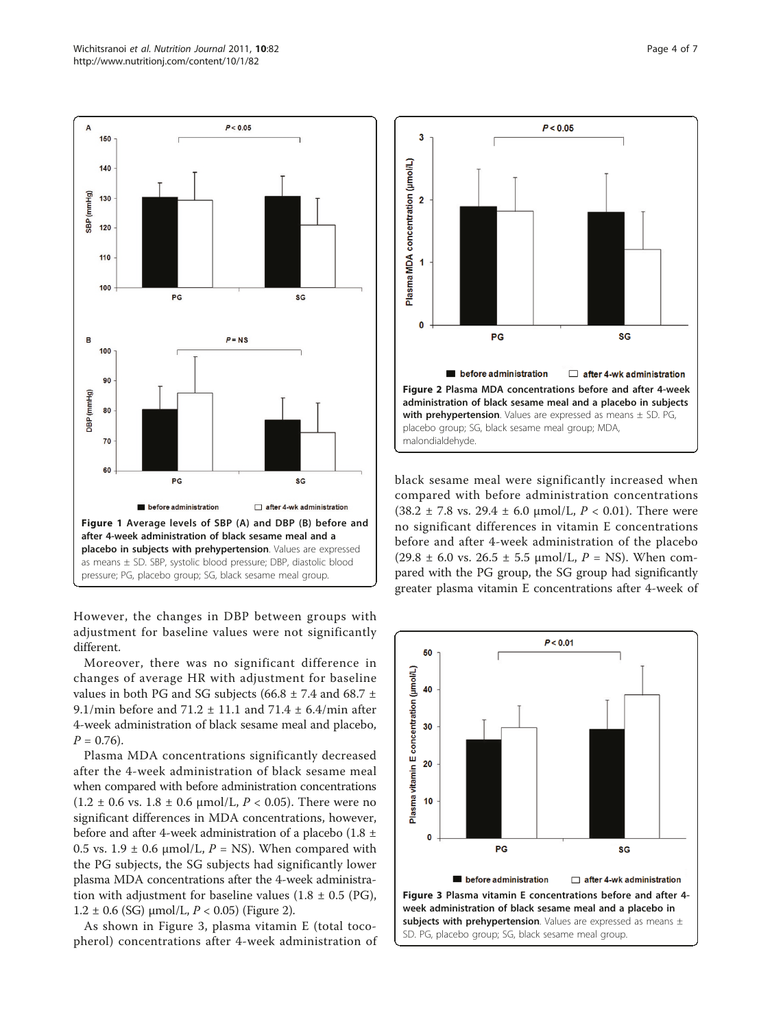<span id="page-3-0"></span>

However, the changes in DBP between groups with adjustment for baseline values were not significantly different.

Moreover, there was no significant difference in changes of average HR with adjustment for baseline values in both PG and SG subjects (66.8  $\pm$  7.4 and 68.7  $\pm$ 9.1/min before and  $71.2 \pm 11.1$  and  $71.4 \pm 6.4$ /min after 4-week administration of black sesame meal and placebo,  $P = 0.76$ .

Plasma MDA concentrations significantly decreased after the 4-week administration of black sesame meal when compared with before administration concentrations  $(1.2 \pm 0.6 \text{ vs. } 1.8 \pm 0.6 \text{ µmol/L}, P < 0.05)$ . There were no significant differences in MDA concentrations, however, before and after 4-week administration of a placebo (1.8 ± 0.5 vs. 1.9  $\pm$  0.6  $\mu$ mol/L, P = NS). When compared with the PG subjects, the SG subjects had significantly lower plasma MDA concentrations after the 4-week administration with adjustment for baseline values (1.8  $\pm$  0.5 (PG),  $1.2 \pm 0.6$  (SG)  $\mu$ mol/L,  $P < 0.05$ ) (Figure 2).

As shown in Figure 3, plasma vitamin E (total tocopherol) concentrations after 4-week administration of



black sesame meal were significantly increased when compared with before administration concentrations (38.2  $\pm$  7.8 vs. 29.4  $\pm$  6.0 µmol/L,  $P < 0.01$ ). There were no significant differences in vitamin E concentrations before and after 4-week administration of the placebo  $(29.8 \pm 6.0 \text{ vs. } 26.5 \pm 5.5 \text{ µmol/L}, P = \text{NS}).$  When compared with the PG group, the SG group had significantly greater plasma vitamin E concentrations after 4-week of

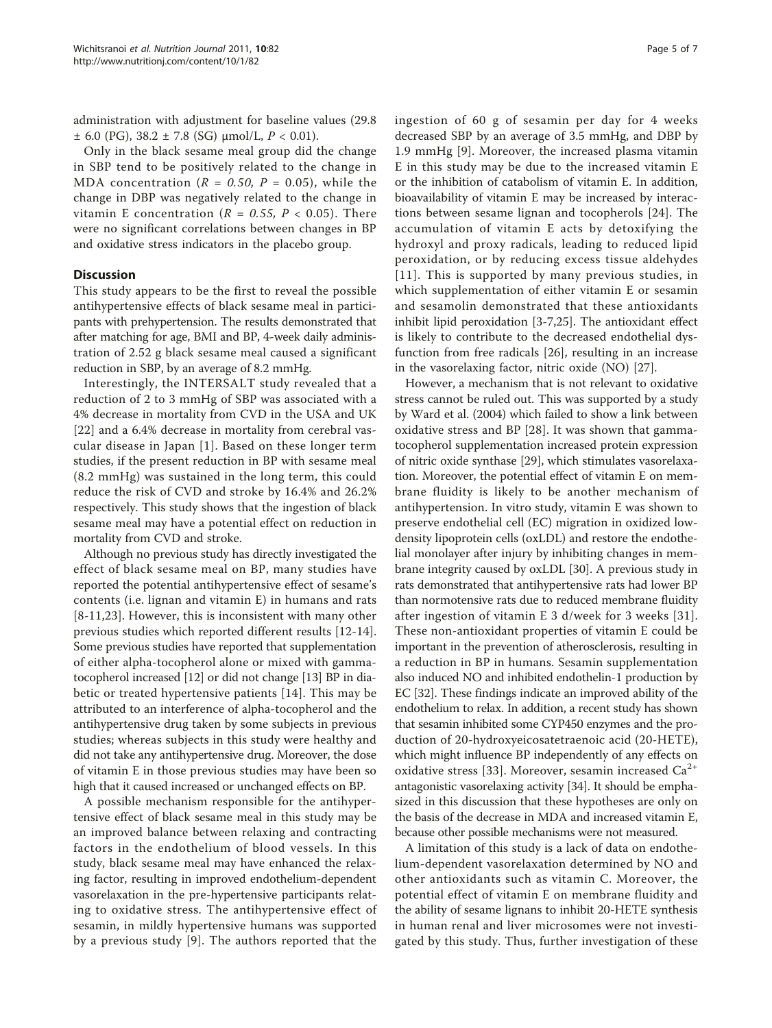administration with adjustment for baseline values (29.8  $\pm$  6.0 (PG), 38.2  $\pm$  7.8 (SG)  $\mu$ mol/L, P < 0.01).

Only in the black sesame meal group did the change in SBP tend to be positively related to the change in MDA concentration ( $R = 0.50$ ,  $P = 0.05$ ), while the change in DBP was negatively related to the change in vitamin E concentration ( $R = 0.55$ ,  $P < 0.05$ ). There were no significant correlations between changes in BP and oxidative stress indicators in the placebo group.

# **Discussion**

This study appears to be the first to reveal the possible antihypertensive effects of black sesame meal in participants with prehypertension. The results demonstrated that after matching for age, BMI and BP, 4-week daily administration of 2.52 g black sesame meal caused a significant reduction in SBP, by an average of 8.2 mmHg.

Interestingly, the INTERSALT study revealed that a reduction of 2 to 3 mmHg of SBP was associated with a 4% decrease in mortality from CVD in the USA and UK [[22](#page-5-0)] and a 6.4% decrease in mortality from cerebral vascular disease in Japan [[1\]](#page-5-0). Based on these longer term studies, if the present reduction in BP with sesame meal (8.2 mmHg) was sustained in the long term, this could reduce the risk of CVD and stroke by 16.4% and 26.2% respectively. This study shows that the ingestion of black sesame meal may have a potential effect on reduction in mortality from CVD and stroke.

Although no previous study has directly investigated the effect of black sesame meal on BP, many studies have reported the potential antihypertensive effect of sesame's contents (i.e. lignan and vitamin E) in humans and rats [[8-11,](#page-5-0)[23\]](#page-6-0). However, this is inconsistent with many other previous studies which reported different results [[12-14](#page-5-0)]. Some previous studies have reported that supplementation of either alpha-tocopherol alone or mixed with gammatocopherol increased [\[12\]](#page-5-0) or did not change [\[13\]](#page-5-0) BP in diabetic or treated hypertensive patients [[14](#page-5-0)]. This may be attributed to an interference of alpha-tocopherol and the antihypertensive drug taken by some subjects in previous studies; whereas subjects in this study were healthy and did not take any antihypertensive drug. Moreover, the dose of vitamin E in those previous studies may have been so high that it caused increased or unchanged effects on BP.

A possible mechanism responsible for the antihypertensive effect of black sesame meal in this study may be an improved balance between relaxing and contracting factors in the endothelium of blood vessels. In this study, black sesame meal may have enhanced the relaxing factor, resulting in improved endothelium-dependent vasorelaxation in the pre-hypertensive participants relating to oxidative stress. The antihypertensive effect of sesamin, in mildly hypertensive humans was supported by a previous study [[9](#page-5-0)]. The authors reported that the ingestion of 60 g of sesamin per day for 4 weeks decreased SBP by an average of 3.5 mmHg, and DBP by 1.9 mmHg [[9\]](#page-5-0). Moreover, the increased plasma vitamin E in this study may be due to the increased vitamin E or the inhibition of catabolism of vitamin E. In addition, bioavailability of vitamin E may be increased by interactions between sesame lignan and tocopherols [\[24](#page-6-0)]. The accumulation of vitamin E acts by detoxifying the hydroxyl and proxy radicals, leading to reduced lipid peroxidation, or by reducing excess tissue aldehydes [[11\]](#page-5-0). This is supported by many previous studies, in which supplementation of either vitamin E or sesamin and sesamolin demonstrated that these antioxidants inhibit lipid peroxidation [[3-7](#page-5-0)[,25](#page-6-0)]. The antioxidant effect is likely to contribute to the decreased endothelial dysfunction from free radicals [[26\]](#page-6-0), resulting in an increase in the vasorelaxing factor, nitric oxide (NO) [\[27\]](#page-6-0).

However, a mechanism that is not relevant to oxidative stress cannot be ruled out. This was supported by a study by Ward et al. (2004) which failed to show a link between oxidative stress and BP [\[28](#page-6-0)]. It was shown that gammatocopherol supplementation increased protein expression of nitric oxide synthase [[29](#page-6-0)], which stimulates vasorelaxation. Moreover, the potential effect of vitamin E on membrane fluidity is likely to be another mechanism of antihypertension. In vitro study, vitamin E was shown to preserve endothelial cell (EC) migration in oxidized lowdensity lipoprotein cells (oxLDL) and restore the endothelial monolayer after injury by inhibiting changes in membrane integrity caused by oxLDL [\[30\]](#page-6-0). A previous study in rats demonstrated that antihypertensive rats had lower BP than normotensive rats due to reduced membrane fluidity after ingestion of vitamin E 3 d/week for 3 weeks [[31\]](#page-6-0). These non-antioxidant properties of vitamin E could be important in the prevention of atherosclerosis, resulting in a reduction in BP in humans. Sesamin supplementation also induced NO and inhibited endothelin-1 production by EC [\[32](#page-6-0)]. These findings indicate an improved ability of the endothelium to relax. In addition, a recent study has shown that sesamin inhibited some CYP450 enzymes and the production of 20-hydroxyeicosatetraenoic acid (20-HETE), which might influence BP independently of any effects on oxidative stress [\[33](#page-6-0)]. Moreover, sesamin increased  $Ca^{2+}$ antagonistic vasorelaxing activity [[34](#page-6-0)]. It should be emphasized in this discussion that these hypotheses are only on the basis of the decrease in MDA and increased vitamin E, because other possible mechanisms were not measured.

A limitation of this study is a lack of data on endothelium-dependent vasorelaxation determined by NO and other antioxidants such as vitamin C. Moreover, the potential effect of vitamin E on membrane fluidity and the ability of sesame lignans to inhibit 20-HETE synthesis in human renal and liver microsomes were not investigated by this study. Thus, further investigation of these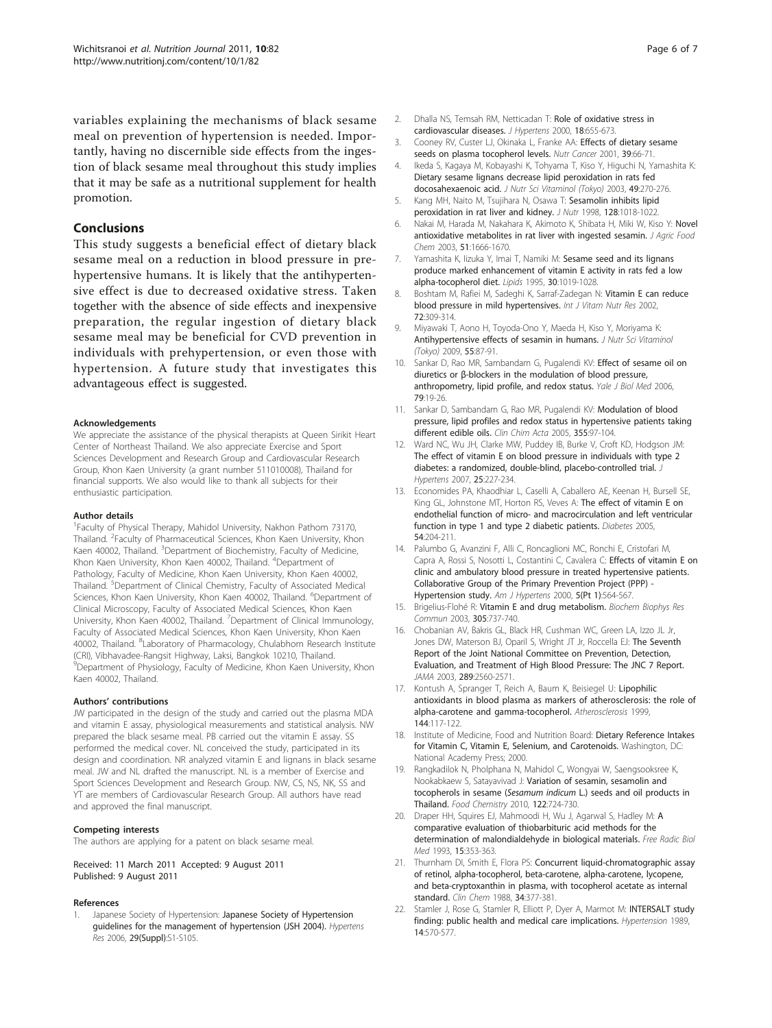<span id="page-5-0"></span>variables explaining the mechanisms of black sesame meal on prevention of hypertension is needed. Importantly, having no discernible side effects from the ingestion of black sesame meal throughout this study implies that it may be safe as a nutritional supplement for health promotion.

# **Conclusions**

This study suggests a beneficial effect of dietary black sesame meal on a reduction in blood pressure in prehypertensive humans. It is likely that the antihypertensive effect is due to decreased oxidative stress. Taken together with the absence of side effects and inexpensive preparation, the regular ingestion of dietary black sesame meal may be beneficial for CVD prevention in individuals with prehypertension, or even those with hypertension. A future study that investigates this advantageous effect is suggested.

#### Acknowledgements

We appreciate the assistance of the physical therapists at Queen Sirikit Heart Center of Northeast Thailand. We also appreciate Exercise and Sport Sciences Development and Research Group and Cardiovascular Research Group, Khon Kaen University (a grant number 511010008), Thailand for financial supports. We also would like to thank all subjects for their enthusiastic participation.

#### Author details

<sup>1</sup>Faculty of Physical Therapy, Mahidol University, Nakhon Pathom 73170, Thailand. <sup>2</sup>Faculty of Pharmaceutical Sciences, Khon Kaen University, Khon Kaen 40002, Thailand. <sup>3</sup>Department of Biochemistry, Faculty of Medicine, Khon Kaen University, Khon Kaen 40002, Thailand. <sup>4</sup>Department of Pathology, Faculty of Medicine, Khon Kaen University, Khon Kaen 40002, Thailand. <sup>5</sup>Department of Clinical Chemistry, Faculty of Associated Medical Sciences, Khon Kaen University, Khon Kaen 40002, Thailand. <sup>6</sup>Department of Clinical Microscopy, Faculty of Associated Medical Sciences, Khon Kaen University, Khon Kaen 40002, Thailand. <sup>7</sup> Department of Clinical Immunology, Faculty of Associated Medical Sciences, Khon Kaen University, Khon Kaen 40002, Thailand. <sup>8</sup>Laboratory of Pharmacology, Chulabhorn Research Institute (CRI), Vibhavadee-Rangsit Highway, Laksi, Bangkok 10210, Thailand. <sup>9</sup>Department of Physiology, Faculty of Medicine, Khon Kaen University, Khon Kaen 40002, Thailand.

#### Authors' contributions

JW participated in the design of the study and carried out the plasma MDA and vitamin E assay, physiological measurements and statistical analysis. NW prepared the black sesame meal. PB carried out the vitamin E assay. SS performed the medical cover. NL conceived the study, participated in its design and coordination. NR analyzed vitamin E and lignans in black sesame meal. JW and NL drafted the manuscript. NL is a member of Exercise and Sport Sciences Development and Research Group. NW, CS, NS, NK, SS and YT are members of Cardiovascular Research Group. All authors have read and approved the final manuscript.

#### Competing interests

The authors are applying for a patent on black sesame meal.

Received: 11 March 2011 Accepted: 9 August 2011 Published: 9 August 2011

#### References

[Japanese Society of Hypertension](http://www.ncbi.nlm.nih.gov/pubmed/17366911?dopt=Abstract): Japanese Society of Hypertension [guidelines for the management of hypertension \(JSH 2004\).](http://www.ncbi.nlm.nih.gov/pubmed/17366911?dopt=Abstract) Hypertens Res 2006, 29(Suppl):S1-S105.

- 2. Dhalla NS, Temsah RM, Netticadan T: [Role of oxidative stress in](http://www.ncbi.nlm.nih.gov/pubmed/10872549?dopt=Abstract) [cardiovascular diseases.](http://www.ncbi.nlm.nih.gov/pubmed/10872549?dopt=Abstract) J Hypertens 2000, 18:655-673.
- 3. Cooney RV, Custer LJ, Okinaka L, Franke AA: [Effects of dietary sesame](http://www.ncbi.nlm.nih.gov/pubmed/11588904?dopt=Abstract) [seeds on plasma tocopherol levels.](http://www.ncbi.nlm.nih.gov/pubmed/11588904?dopt=Abstract) Nutr Cancer 2001, 39:66-71.
- 4. Ikeda S, Kagaya M, Kobayashi K, Tohyama T, Kiso Y, Higuchi N, Yamashita K: Dietary sesame lignans decrease lipid peroxidation in rats fed docosahexaenoic acid. J Nutr Sci Vitaminol (Tokyo) 2003, 49:270-276.
- 5. Kang MH, Naito M, Tsujihara N, Osawa T: [Sesamolin inhibits lipid](http://www.ncbi.nlm.nih.gov/pubmed/9614163?dopt=Abstract) [peroxidation in rat liver and kidney.](http://www.ncbi.nlm.nih.gov/pubmed/9614163?dopt=Abstract) J Nutr 1998, 128:1018-1022.
- 6. Nakai M, Harada M, Nakahara K, Akimoto K, Shibata H, Miki W, Kiso Y: [Novel](http://www.ncbi.nlm.nih.gov/pubmed/12617602?dopt=Abstract) [antioxidative metabolites in rat liver with ingested sesamin.](http://www.ncbi.nlm.nih.gov/pubmed/12617602?dopt=Abstract) J Agric Food Chem 2003, 51:1666-1670.
- 7. Yamashita K, Iizuka Y, Imai T, Namiki M: [Sesame seed and its lignans](http://www.ncbi.nlm.nih.gov/pubmed/8569430?dopt=Abstract) [produce marked enhancement of vitamin E activity in rats fed a low](http://www.ncbi.nlm.nih.gov/pubmed/8569430?dopt=Abstract) [alpha-tocopherol diet.](http://www.ncbi.nlm.nih.gov/pubmed/8569430?dopt=Abstract) Lipids 1995, 30:1019-1028.
- 8. Boshtam M, Rafiei M, Sadeghi K, Sarraf-Zadegan N: [Vitamin E can reduce](http://www.ncbi.nlm.nih.gov/pubmed/12463106?dopt=Abstract) [blood pressure in mild hypertensives.](http://www.ncbi.nlm.nih.gov/pubmed/12463106?dopt=Abstract) Int J Vitam Nutr Res 2002, 72:309-314.
- 9. Miyawaki T, Aono H, Toyoda-Ono Y, Maeda H, Kiso Y, Moriyama K: Antihypertensive effects of sesamin in humans. J Nutr Sci Vitaminol (Tokyo) 2009, 55:87-91.
- 10. Sankar D, Rao MR, Sambandam G, Pugalendi KV: [Effect of sesame oil on](http://www.ncbi.nlm.nih.gov/pubmed/17876372?dopt=Abstract) diuretics or β[-blockers in the modulation of blood pressure,](http://www.ncbi.nlm.nih.gov/pubmed/17876372?dopt=Abstract) [anthropometry, lipid profile, and redox status.](http://www.ncbi.nlm.nih.gov/pubmed/17876372?dopt=Abstract) Yale J Biol Med 2006, 79:19-26.
- 11. Sankar D, Sambandam G, Rao MR, Pugalendi KV: [Modulation of blood](http://www.ncbi.nlm.nih.gov/pubmed/15820483?dopt=Abstract) [pressure, lipid profiles and redox status in hypertensive patients taking](http://www.ncbi.nlm.nih.gov/pubmed/15820483?dopt=Abstract) [different edible oils.](http://www.ncbi.nlm.nih.gov/pubmed/15820483?dopt=Abstract) Clin Chim Acta 2005, 355:97-104.
- 12. Ward NC, Wu JH, Clarke MW, Puddey IB, Burke V, Croft KD, Hodgson JM: [The effect of vitamin E on blood pressure in individuals with type 2](http://www.ncbi.nlm.nih.gov/pubmed/17143195?dopt=Abstract) [diabetes: a randomized, double-blind, placebo-controlled trial.](http://www.ncbi.nlm.nih.gov/pubmed/17143195?dopt=Abstract) J Hypertens 2007, 25:227-234.
- 13. Economides PA, Khaodhiar L, Caselli A, Caballero AE, Keenan H, Bursell SE, King GL, Johnstone MT, Horton RS, Veves A: [The effect of vitamin E on](http://www.ncbi.nlm.nih.gov/pubmed/15616030?dopt=Abstract) [endothelial function of micro- and macrocirculation and left ventricular](http://www.ncbi.nlm.nih.gov/pubmed/15616030?dopt=Abstract) [function in type 1 and type 2 diabetic patients.](http://www.ncbi.nlm.nih.gov/pubmed/15616030?dopt=Abstract) Diabetes 2005, 54:204-211.
- 14. Palumbo G, Avanzini F, Alli C, Roncaglioni MC, Ronchi E, Cristofari M, Capra A, Rossi S, Nosotti L, Costantini C, Cavalera C: Effects of vitamin E on clinic and ambulatory blood pressure in treated hypertensive patients. Collaborative Group of the Primary Prevention Project (PPP) - Hypertension study. Am J Hypertens 2000, 5(Pt 1):564-567.
- 15. Brigelius-Flohé R: [Vitamin E and drug metabolism.](http://www.ncbi.nlm.nih.gov/pubmed/12763054?dopt=Abstract) Biochem Biophys Res Commun 2003, 305:737-740.
- 16. Chobanian AV, Bakris GL, Black HR, Cushman WC, Green LA, Izzo JL Jr, Jones DW, Materson BJ, Oparil S, Wright JT Jr, Roccella EJ: [The Seventh](http://www.ncbi.nlm.nih.gov/pubmed/12748199?dopt=Abstract) [Report of the Joint National Committee on Prevention, Detection,](http://www.ncbi.nlm.nih.gov/pubmed/12748199?dopt=Abstract) [Evaluation, and Treatment of High Blood Pressure: The JNC 7 Report.](http://www.ncbi.nlm.nih.gov/pubmed/12748199?dopt=Abstract) JAMA 2003, 289:2560-2571.
- 17. Kontush A, Spranger T, Reich A, Baum K, Beisiegel U: [Lipophilic](http://www.ncbi.nlm.nih.gov/pubmed/10381285?dopt=Abstract) [antioxidants in blood plasma as markers of atherosclerosis: the role of](http://www.ncbi.nlm.nih.gov/pubmed/10381285?dopt=Abstract) [alpha-carotene and gamma-tocopherol.](http://www.ncbi.nlm.nih.gov/pubmed/10381285?dopt=Abstract) Atherosclerosis 1999, 144:117-122.
- 18. Institute of Medicine, Food and Nutrition Board: Dietary Reference Intakes for Vitamin C, Vitamin E, Selenium, and Carotenoids. Washington, DC: National Academy Press; 2000.
- 19. Rangkadilok N, Pholphana N, Mahidol C, Wongyai W, Saengsooksree K, Nookabkaew S, Satayavivad J: Variation of sesamin, sesamolin and tocopherols in sesame (Sesamum indicum L.) seeds and oil products in Thailand. Food Chemistry 2010, 122:724-730.
- 20. Draper HH, Squires EJ, Mahmoodi H, Wu J, Agarwal S, Hadley M: [A](http://www.ncbi.nlm.nih.gov/pubmed/8225017?dopt=Abstract) [comparative evaluation of thiobarbituric acid methods for the](http://www.ncbi.nlm.nih.gov/pubmed/8225017?dopt=Abstract) [determination of malondialdehyde in biological materials.](http://www.ncbi.nlm.nih.gov/pubmed/8225017?dopt=Abstract) Free Radic Biol Med 1993, 15:353-363.
- 21. Thurnham DI, Smith E, Flora PS: [Concurrent liquid-chromatographic assay](http://www.ncbi.nlm.nih.gov/pubmed/3342512?dopt=Abstract) [of retinol, alpha-tocopherol, beta-carotene, alpha-carotene, lycopene,](http://www.ncbi.nlm.nih.gov/pubmed/3342512?dopt=Abstract) [and beta-cryptoxanthin in plasma, with tocopherol acetate as internal](http://www.ncbi.nlm.nih.gov/pubmed/3342512?dopt=Abstract) [standard.](http://www.ncbi.nlm.nih.gov/pubmed/3342512?dopt=Abstract) Clin Chem 1988, 34:377-381.
- 22. Stamler J, Rose G, Stamler R, Elliott P, Dyer A, Marmot M: [INTERSALT study](http://www.ncbi.nlm.nih.gov/pubmed/2807518?dopt=Abstract) [finding: public health and medical care implications.](http://www.ncbi.nlm.nih.gov/pubmed/2807518?dopt=Abstract) Hypertension 1989, 14:570-577.